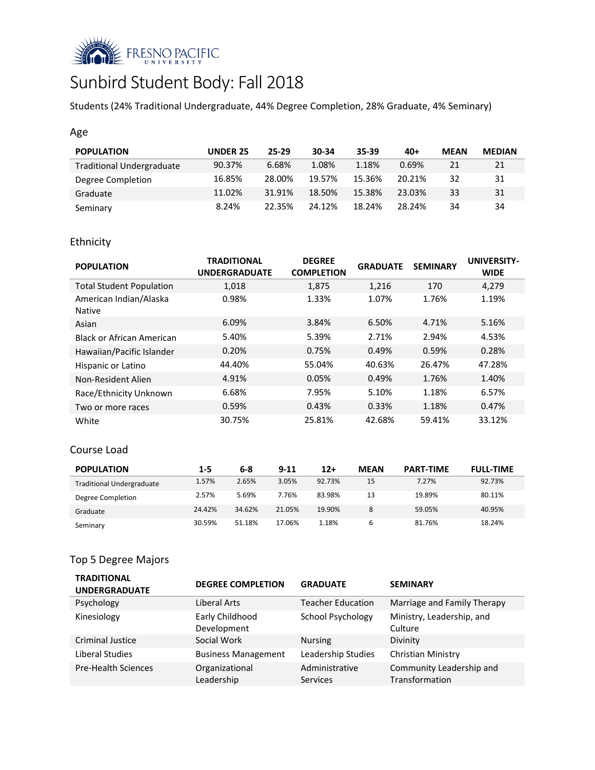

# Sunbird Student Body: Fall 2018

Students (24% Traditional Undergraduate, 44% Degree Completion, 28% Graduate, 4% Seminary)

## Age

| <b>POPULATION</b>                | <b>UNDER 25</b> | 25-29  | 30-34  | 35-39  | $40+$  | <b>MEAN</b> | <b>MEDIAN</b> |
|----------------------------------|-----------------|--------|--------|--------|--------|-------------|---------------|
| <b>Traditional Undergraduate</b> | 90.37%          | 6.68%  | 1.08%  | 1.18%  | 0.69%  | 21          | 21            |
| Degree Completion                | 16.85%          | 28.00% | 19.57% | 15.36% | 20.21% | 32          | 31            |
| Graduate                         | 11.02%          | 31.91% | 18.50% | 15.38% | 23.03% | 33          | 31            |
| Seminary                         | 8.24%           | 22.35% | 24.12% | 18.24% | 28.24% | 34          | 34            |

# Ethnicity

| <b>POPULATION</b>                | <b>TRADITIONAL</b><br><b>UNDERGRADUATE</b> | <b>DEGREE</b><br><b>COMPLETION</b> | <b>GRADUATE</b> | <b>SEMINARY</b> | <b>UNIVERSITY-</b><br><b>WIDE</b> |
|----------------------------------|--------------------------------------------|------------------------------------|-----------------|-----------------|-----------------------------------|
| <b>Total Student Population</b>  | 1,018                                      | 1,875                              | 1,216           | 170             | 4,279                             |
| American Indian/Alaska<br>Native | 0.98%                                      | 1.33%                              | 1.07%           | 1.76%           | 1.19%                             |
| Asian                            | 6.09%                                      | 3.84%                              | 6.50%           | 4.71%           | 5.16%                             |
| Black or African American        | 5.40%                                      | 5.39%                              | 2.71%           | 2.94%           | 4.53%                             |
| Hawaiian/Pacific Islander        | 0.20%                                      | 0.75%                              | 0.49%           | 0.59%           | 0.28%                             |
| Hispanic or Latino               | 44.40%                                     | 55.04%                             | 40.63%          | 26.47%          | 47.28%                            |
| Non-Resident Alien               | 4.91%                                      | 0.05%                              | 0.49%           | 1.76%           | 1.40%                             |
| Race/Ethnicity Unknown           | 6.68%                                      | 7.95%                              | 5.10%           | 1.18%           | 6.57%                             |
| Two or more races                | 0.59%                                      | 0.43%                              | 0.33%           | 1.18%           | 0.47%                             |
| White                            | 30.75%                                     | 25.81%                             | 42.68%          | 59.41%          | 33.12%                            |

## Course Load

| <b>POPULATION</b>                | 1-5    | $6 - 8$ | $9 - 11$ | $12+$  | <b>MEAN</b> | <b>PART-TIME</b> | <b>FULL-TIME</b> |
|----------------------------------|--------|---------|----------|--------|-------------|------------------|------------------|
| <b>Traditional Undergraduate</b> | 1.57%  | 2.65%   | 3.05%    | 92.73% | 15          | 7.27%            | 92.73%           |
| Degree Completion                | 2.57%  | 5.69%   | 7.76%    | 83.98% | 13          | 19.89%           | 80.11%           |
| Graduate                         | 24.42% | 34.62%  | 21.05%   | 19.90% | 8           | 59.05%           | 40.95%           |
| Seminary                         | 30.59% | 51.18%  | 17.06%   | 1.18%  | ь           | 81.76%           | 18.24%           |

# Top 5 Degree Majors

| <b>TRADITIONAL</b><br><b>UNDERGRADUATE</b> | <b>DEGREE COMPLETION</b>       | <b>GRADUATE</b>                   | <b>SEMINARY</b>                            |
|--------------------------------------------|--------------------------------|-----------------------------------|--------------------------------------------|
| Psychology                                 | Liberal Arts                   | <b>Teacher Education</b>          | Marriage and Family Therapy                |
| Kinesiology                                | Early Childhood<br>Development | School Psychology                 | Ministry, Leadership, and<br>Culture       |
| <b>Criminal Justice</b>                    | Social Work                    | <b>Nursing</b>                    | Divinity                                   |
| Liberal Studies                            | <b>Business Management</b>     | Leadership Studies                | Christian Ministry                         |
| <b>Pre-Health Sciences</b>                 | Organizational<br>Leadership   | Administrative<br><b>Services</b> | Community Leadership and<br>Transformation |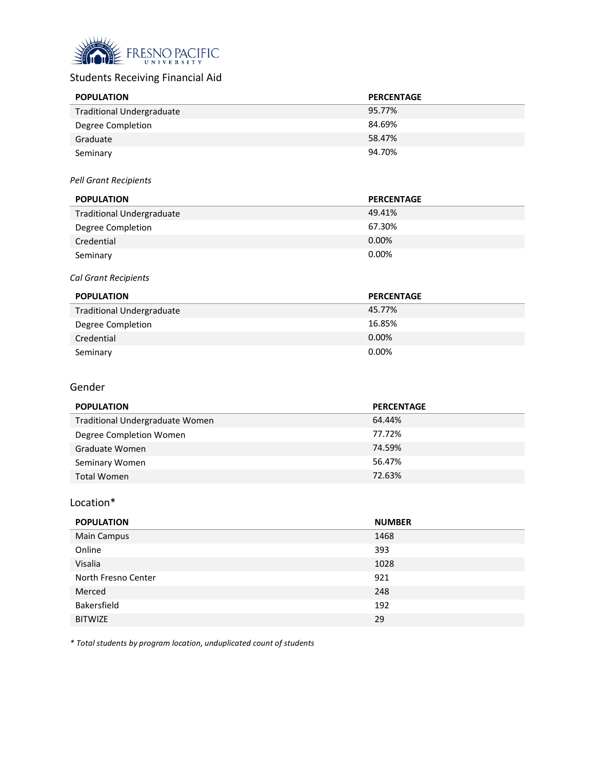

# Students Receiving Financial Aid

| <b>POPULATION</b>                | <b>PERCENTAGE</b> |
|----------------------------------|-------------------|
| <b>Traditional Undergraduate</b> | 95.77%            |
| Degree Completion                | 84.69%            |
| Graduate                         | 58.47%            |
| Seminary                         | 94.70%            |

#### *Pell Grant Recipients*

| <b>POPULATION</b>                | <b>PERCENTAGE</b> |
|----------------------------------|-------------------|
| <b>Traditional Undergraduate</b> | 49.41%            |
| Degree Completion                | 67.30%            |
| Credential                       | $0.00\%$          |
| Seminary                         | 0.00%             |

#### *Cal Grant Recipients*

| <b>POPULATION</b>                | <b>PERCENTAGE</b> |
|----------------------------------|-------------------|
| <b>Traditional Undergraduate</b> | 45.77%            |
| Degree Completion                | 16.85%            |
| Credential                       | $0.00\%$          |
| Seminary                         | 0.00%             |

#### Gender

| <b>POPULATION</b>               | <b>PERCENTAGE</b> |
|---------------------------------|-------------------|
| Traditional Undergraduate Women | 64.44%            |
| Degree Completion Women         | 77.72%            |
| Graduate Women                  | 74.59%            |
| Seminary Women                  | 56.47%            |
| <b>Total Women</b>              | 72.63%            |

## Location\*

| <b>POPULATION</b>   | <b>NUMBER</b> |
|---------------------|---------------|
| <b>Main Campus</b>  | 1468          |
| Online              | 393           |
| Visalia             | 1028          |
| North Fresno Center | 921           |
| Merced              | 248           |
| Bakersfield         | 192           |
| <b>BITWIZE</b>      | 29            |

*\* Total students by program location, unduplicated count of students*